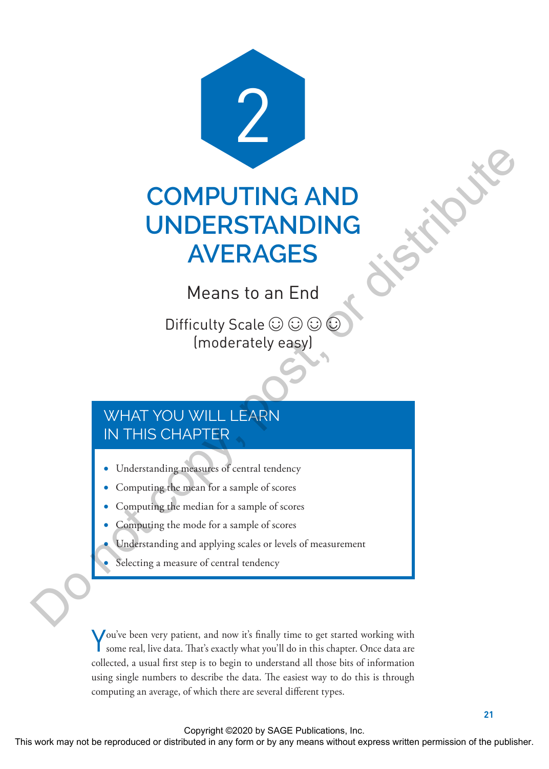

# **COMPUTING AND UNDERSTANDING AVERAGES**

## Means to an End

Difficulty Scale  $\odot \odot \odot$ (moderately easy)

### WHAT YOU WILL LEARN IN THIS CHAPTER

- Understanding measures of central tendency
- Computing the mean for a sample of scores
- Computing the median for a sample of scores
- Computing the mode for a sample of scores
- Understanding and applying scales or levels of measurement
- Selecting a measure of central tendency

You've been very patient, and now it's finally time to get started working with some real, live data. That's exactly what you'll do in this chapter. Once data are collected, a usual first step is to begin to understand all those bits of information using single numbers to describe the data. The easiest way to do this is through computing an average, of which there are several different types. This work may not be reproduced or distributed in any form or by any means without express written permission of the publisher. Do not copy, post, or distribute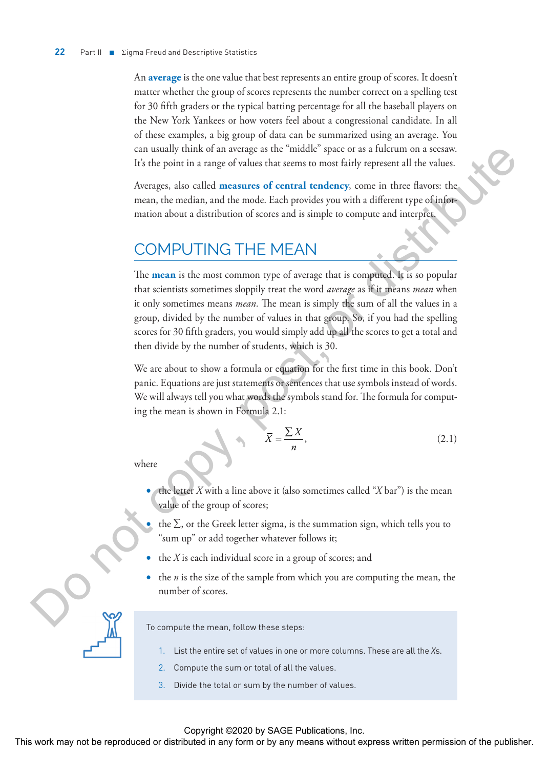An **average** is the one value that best represents an entire group of scores. It doesn't matter whether the group of scores represents the number correct on a spelling test for 30 fifth graders or the typical batting percentage for all the baseball players on the New York Yankees or how voters feel about a congressional candidate. In all of these examples, a big group of data can be summarized using an average. You can usually think of an average as the "middle" space or as a fulcrum on a seesaw. It's the point in a range of values that seems to most fairly represent all the values.

Averages, also called **measures of central tendency**, come in three flavors: the mean, the median, and the mode. Each provides you with a different type of information about a distribution of scores and is simple to compute and interpret.

### COMPUTING THE MEAN

The **mean** is the most common type of average that is computed. It is so popular that scientists sometimes sloppily treat the word *average* as if it means *mean* when it only sometimes means *mean.* The mean is simply the sum of all the values in a group, divided by the number of values in that group. So, if you had the spelling scores for 30 fifth graders, you would simply add up all the scores to get a total and then divide by the number of students, which is 30. CHE is the reproduced or distributed in an express with a space or distributed in any means with the space or distributed in any means with the space or the reproduced in any means with the space of the publisher. The pub

We are about to show a formula or equation for the first time in this book. Don't panic. Equations are just statements or sentences that use symbols instead of words. We will always tell you what words the symbols stand for. The formula for computing the mean is shown in Formula 2.1:

$$
\overline{X} = \frac{\sum X}{n},\tag{2.1}
$$

where

- the letter *X* with a line above it (also sometimes called "*X* bar") is the mean value of the group of scores;
- the ∑, or the Greek letter sigma, is the summation sign, which tells you to "sum up" or add together whatever follows it;
- the  $X$  is each individual score in a group of scores; and
- the *n* is the size of the sample from which you are computing the mean, the number of scores.

To compute the mean, follow these steps:

- 1. List the entire set of values in one or more columns. These are all the *X*s.
- 2. Compute the sum or total of all the values.
- 3. Divide the total or sum by the number of values.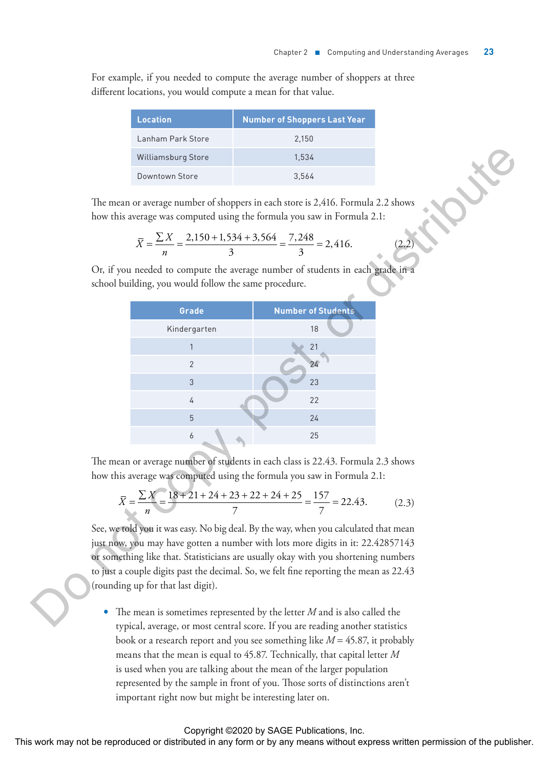For example, if you needed to compute the average number of shoppers at three different locations, you would compute a mean for that value.

| <b>Location</b>           | <b>Number of Shoppers Last Year</b> |
|---------------------------|-------------------------------------|
| Lanham Park Store         | 2,150                               |
| <b>Williamsburg Store</b> | 1.534                               |
| Downtown Store            | 3.564                               |

$$
\overline{X} = \frac{\sum X}{n} = \frac{2,150 + 1,534 + 3,564}{3} = \frac{7,248}{3} = 2,416.
$$
 (2.2)

| Williamsburg Store                                     | 1,534                                                                                                                                                                                                                                                                                                                                                                                                                                                                                  |                                                                                                                                 |
|--------------------------------------------------------|----------------------------------------------------------------------------------------------------------------------------------------------------------------------------------------------------------------------------------------------------------------------------------------------------------------------------------------------------------------------------------------------------------------------------------------------------------------------------------------|---------------------------------------------------------------------------------------------------------------------------------|
| Downtown Store                                         | 3,564                                                                                                                                                                                                                                                                                                                                                                                                                                                                                  |                                                                                                                                 |
|                                                        | The mean or average number of shoppers in each store is 2,416. Formula 2.2 shows<br>how this average was computed using the formula you saw in Formula 2.1:                                                                                                                                                                                                                                                                                                                            |                                                                                                                                 |
|                                                        | $\overline{X} = \frac{\sum X}{n} = \frac{2,150 + 1,534 + 3,564}{3} = \frac{7,248}{3} = 2,416.$                                                                                                                                                                                                                                                                                                                                                                                         |                                                                                                                                 |
| school building, you would follow the same procedure.  | Or, if you needed to compute the average number of students in each grade in a                                                                                                                                                                                                                                                                                                                                                                                                         |                                                                                                                                 |
| Grade                                                  | <b>Number of Students</b>                                                                                                                                                                                                                                                                                                                                                                                                                                                              |                                                                                                                                 |
| Kindergarten                                           | 18                                                                                                                                                                                                                                                                                                                                                                                                                                                                                     |                                                                                                                                 |
| $\mathbf{1}$                                           | 21                                                                                                                                                                                                                                                                                                                                                                                                                                                                                     |                                                                                                                                 |
| $\overline{2}$                                         | 24                                                                                                                                                                                                                                                                                                                                                                                                                                                                                     |                                                                                                                                 |
| 3                                                      | 23                                                                                                                                                                                                                                                                                                                                                                                                                                                                                     |                                                                                                                                 |
| 4<br>5                                                 | 22<br>24                                                                                                                                                                                                                                                                                                                                                                                                                                                                               |                                                                                                                                 |
| 6                                                      | 25                                                                                                                                                                                                                                                                                                                                                                                                                                                                                     |                                                                                                                                 |
|                                                        | The mean or average number of students in each class is 22.43. Formula 2.3 shows<br>how this average was computed using the formula you saw in Formula 2.1:<br>$\overline{X} = \frac{\sum X}{n} = \frac{18 + 21 + 24 + 23 + 22 + 24 + 25}{7} = \frac{157}{7} = 22.43.$                                                                                                                                                                                                                 | (2.3)                                                                                                                           |
|                                                        | See, we told you it was easy. No big deal. By the way, when you calculated that mean                                                                                                                                                                                                                                                                                                                                                                                                   |                                                                                                                                 |
|                                                        | just now, you may have gotten a number with lots more digits in it: 22.42857143<br>or something like that. Statisticians are usually okay with you shortening numbers                                                                                                                                                                                                                                                                                                                  |                                                                                                                                 |
|                                                        | to just a couple digits past the decimal. So, we felt fine reporting the mean as 22.43                                                                                                                                                                                                                                                                                                                                                                                                 |                                                                                                                                 |
| (rounding up for that last digit).                     |                                                                                                                                                                                                                                                                                                                                                                                                                                                                                        |                                                                                                                                 |
| important right now but might be interesting later on. | The mean is sometimes represented by the letter $M$ and is also called the<br>typical, average, or most central score. If you are reading another statistics<br>book or a research report and you see something like $M = 45.87$ , it probably<br>means that the mean is equal to 45.87. Technically, that capital letter $M$<br>is used when you are talking about the mean of the larger population<br>represented by the sample in front of you. Those sorts of distinctions aren't |                                                                                                                                 |
|                                                        | Copyright ©2020 by SAGE Publications, Inc.                                                                                                                                                                                                                                                                                                                                                                                                                                             | This work may not be reproduced or distributed in any form or by any means without express written permission of the publisher. |

$$
\overline{X} = \frac{\sum X}{n} = \frac{18 + 21 + 24 + 23 + 22 + 24 + 25}{7} = \frac{157}{7} = 22.43.
$$
 (2.3)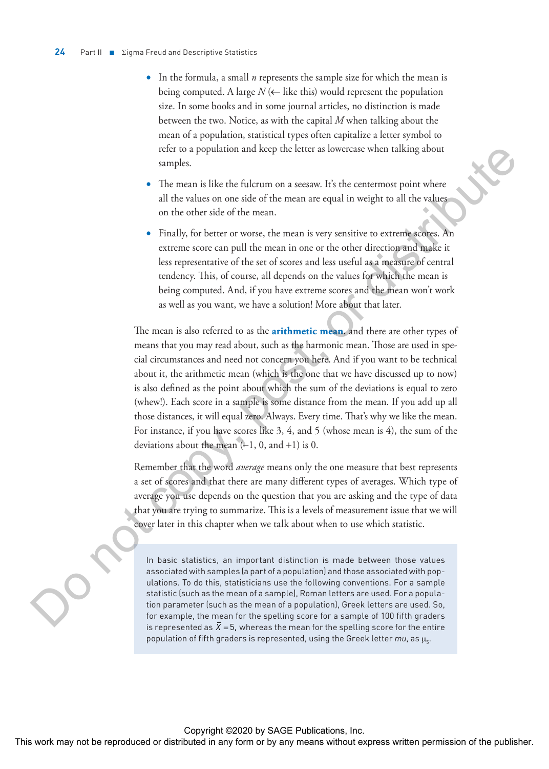- In the formula, a small *n* represents the sample size for which the mean is being computed. A large  $N$  ( $\leftarrow$  like this) would represent the population size. In some books and in some journal articles, no distinction is made between the two. Notice, as with the capital *M* when talking about the mean of a population, statistical types often capitalize a letter symbol to refer to a population and keep the letter as lowercase when talking about samples.
- The mean is like the fulcrum on a seesaw. It's the centermost point where all the values on one side of the mean are equal in weight to all the values on the other side of the mean.
- Finally, for better or worse, the mean is very sensitive to extreme scores. An extreme score can pull the mean in one or the other direction and make it less representative of the set of scores and less useful as a measure of central tendency. This, of course, all depends on the values for which the mean is being computed. And, if you have extreme scores and the mean won't work as well as you want, we have a solution! More about that later.

The mean is also referred to as the **arithmetic mean**, and there are other types of means that you may read about, such as the harmonic mean. Those are used in special circumstances and need not concern you here. And if you want to be technical about it, the arithmetic mean (which is the one that we have discussed up to now) is also defined as the point about which the sum of the deviations is equal to zero (whew!). Each score in a sample is some distance from the mean. If you add up all those distances, it will equal zero. Always. Every time. That's why we like the mean. For instance, if you have scores like 3, 4, and 5 (whose mean is 4), the sum of the deviations about the mean  $(-1, 0, \text{ and } +1)$  is 0. The maximal is work may not be reproduced or the representation of the representation of the reproduced or distributed in any form or by any  $\sim$  by any form or by any form or by any form or by any form or by any form or

Remember that the word *average* means only the one measure that best represents a set of scores and that there are many different types of averages. Which type of average you use depends on the question that you are asking and the type of data that you are trying to summarize. This is a levels of measurement issue that we will cover later in this chapter when we talk about when to use which statistic.

In basic statistics, an important distinction is made between those values associated with samples (a part of a population) and those associated with populations. To do this, statisticians use the following conventions. For a sample statistic (such as the mean of a sample), Roman letters are used. For a population parameter (such as the mean of a population), Greek letters are used. So, for example, the mean for the spelling score for a sample of 100 fifth graders is represented as  $\bar{X}$  = 5, whereas the mean for the spelling score for the entire population of fifth graders is represented, using the Greek letter  $m$ u, as  $\mu_{\scriptscriptstyle 5}$ .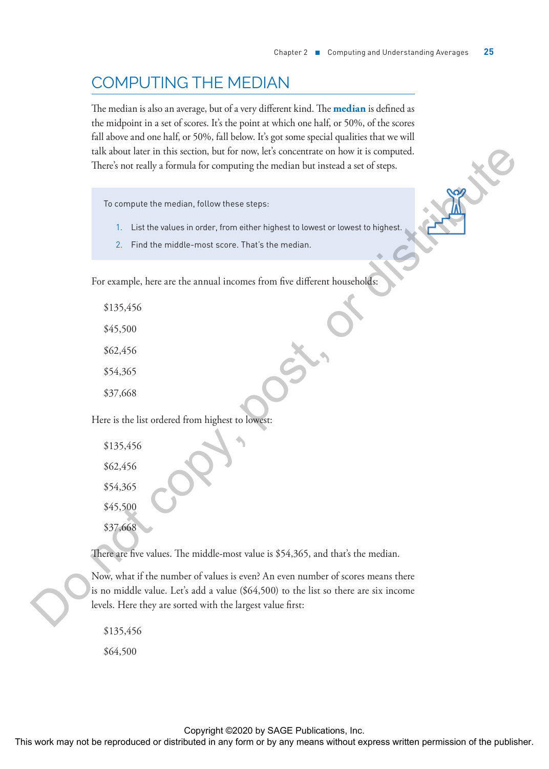### COMPUTING THE MEDIAN

The median is also an average, but of a very different kind. The **median** is defined as the midpoint in a set of scores. It's the point at which one half, or 50%, of the scores fall above and one half, or 50%, fall below. It's got some special qualities that we will talk about later in this section, but for now, let's concentrate on how it is computed. There's not really a formula for computing the median but instead a set of steps.

To compute the median, follow these steps:

- 1. List the values in order, from either highest to lowest or lowest to highest.
- 2. Find the middle-most score. That's the median.

For example, here are the annual incomes from five different households:

\$135,456 \$45,500 \$62,456

- 
- \$54,365
- \$37,668

Here is the list ordered from highest to lowest:

\$135,456

\$62,456

\$54,365

\$45,500

\$37,668

There are five values. The middle-most value is \$54,365, and that's the median.

Now, what if the number of values is even? An even number of scores means there is no middle value. Let's add a value (\$64,500) to the list so there are six income levels. Here they are sorted with the largest value first: The work may not be reproduced or distributed in any form or by any means without express with permitted in any means with the reproduced or distributed in any means were produced in any means with  $\frac{1}{2}$ . For distribu

\$135,456 \$64,500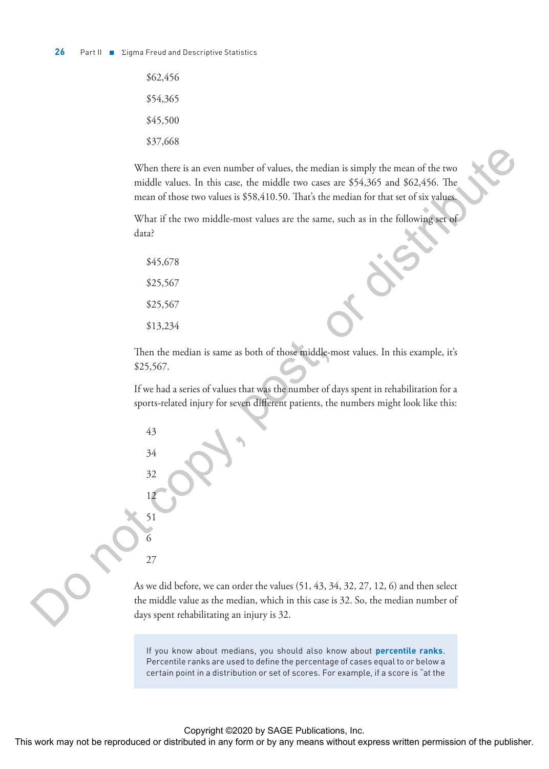\$62,456 \$54,365 \$45,500 \$37,668

When there is an even number of values, the median is simply the mean of the two middle values. In this case, the middle two cases are \$54,365 and \$62,456. The mean of those two values is \$58,410.50. That's the median for that set of six values.

What if the two middle-most values are the same, such as in the following set of data?

\$45,678 \$25,567 \$25,567 \$13,234

43

34

32

12

51

6

27

Then the median is same as both of those middle-most values. In this example, it's \$25,567.

If we had a series of values that was the number of days spent in rehabilitation for a sports-related injury for seven different patients, the numbers might look like this:

As we did before, we can order the values (51, 43, 34, 32, 27, 12, 6) and then select the middle value as the median, which in this case is 32. So, the median number of days spent rehabilitating an injury is 32. When there is an even number of values, the models is simply the mean of the court of the rest of the rest or the rest of the rest or the rest of the rest or the rest or the rest or the rest or distributed in any means is

If you know about medians, you should also know about **percentile ranks**. Percentile ranks are used to define the percentage of cases equal to or below a certain point in a distribution or set of scores. For example, if a score is "at the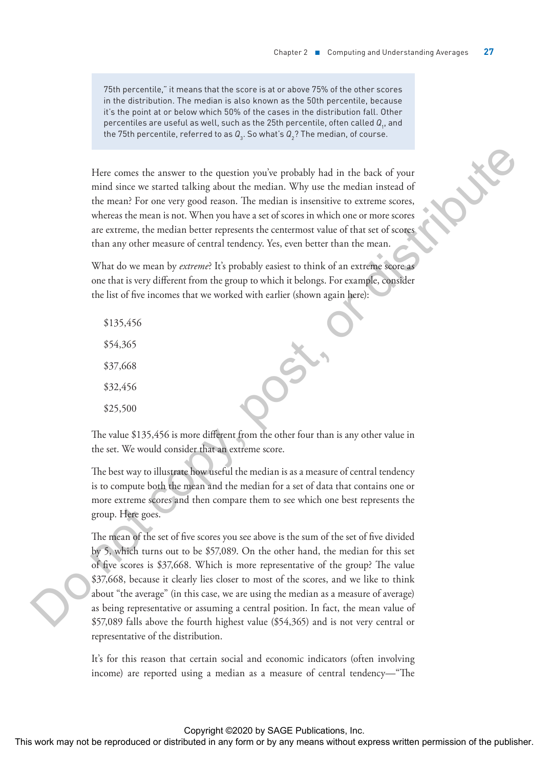75th percentile," it means that the score is at or above 75% of the other scores in the distribution. The median is also known as the 50th percentile, because it's the point at or below which 50% of the cases in the distribution fall. Other percentiles are useful as well, such as the 25th percentile, often called *Q*<sup>1</sup> , and the 75th percentile, referred to as  ${\mathcal Q}_3$ . So what's  ${\mathcal Q}_2$ ? The median, of course.

Here comes the answer to the question you've probably had in the back of your mind since we started talking about the median. Why use the median instead of the mean? For one very good reason. The median is insensitive to extreme scores, whereas the mean is not. When you have a set of scores in which one or more scores are extreme, the median better represents the centermost value of that set of scores than any other measure of central tendency. Yes, even better than the mean.

What do we mean by *extreme*? It's probably easiest to think of an extreme score as one that is very different from the group to which it belongs. For example, consider the list of five incomes that we worked with earlier (shown again here):

| \$135,456 |
|-----------|
| \$54,365  |
| \$37,668  |
| \$32,456  |
| \$25,500  |

The value \$135,456 is more different from the other four than is any other value in the set. We would consider that an extreme score.

The best way to illustrate how useful the median is as a measure of central tendency is to compute both the mean and the median for a set of data that contains one or more extreme scores and then compare them to see which one best represents the group. Here goes.

The mean of the set of five scores you see above is the sum of the set of five divided by 5, which turns out to be \$57,089. On the other hand, the median for this set of five scores is \$37,668. Which is more representative of the group? The value \$37,668, because it clearly lies closer to most of the scores, and we like to think about "the average" (in this case, we are using the median as a measure of average) as being representative or assuming a central position. In fact, the mean value of \$57,089 falls above the fourth highest value (\$54,365) and is not very central or representative of the distribution. The cone is a notice or the quartica partic point of both is the redden or the redden or the redden or the redden in any form or by any form or by any form or by any means is any the reduced or the core of the publisher.

It's for this reason that certain social and economic indicators (often involving income) are reported using a median as a measure of central tendency—"The

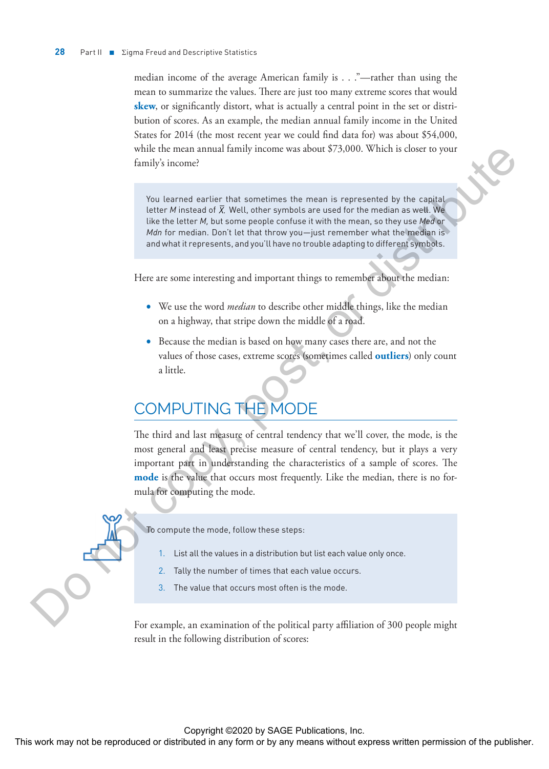median income of the average American family is . . ."—rather than using the mean to summarize the values. There are just too many extreme scores that would **skew**, or significantly distort, what is actually a central point in the set or distribution of scores. As an example, the median annual family income in the United States for 2014 (the most recent year we could find data for) was about \$54,000, while the mean annual family income was about \$73,000. Which is closer to your family's income?

You learned earlier that sometimes the mean is represented by the capital letter *M* instead of  $\overline{X}$ . Well, other symbols are used for the median as well. We like the letter *M,* but some people confuse it with the mean, so they use *Med* or *Mdn* for median. Don't let that throw you-just remember what the median is and what it represents, and you'll have no trouble adapting to different symbols.

Here are some interesting and important things to remember about the median:

- We use the word *median* to describe other middle things, like the median on a highway, that stripe down the middle of a road.
- Because the median is based on how many cases there are, and not the values of those cases, extreme scores (sometimes called **outliers**) only count a little.

## COMPUTING THE MODE

The third and last measure of central tendency that we'll cover, the mode, is the most general and least precise measure of central tendency, but it plays a very important part in understanding the characteristics of a sample of scores. The **mode** is the value that occurs most frequently. Like the median, there is no formula for computing the mode. This work may not be reproduced or distribution in any form or by an any form or by any means with the representation of the reproduced in any means or  $\theta$ . The copy of the publisher of the publisher. All the contents of

To compute the mode, follow these steps:

- List all the values in a distribution but list each value only once.
- 2. Tally the number of times that each value occurs.
- 3. The value that occurs most often is the mode.

For example, an examination of the political party affiliation of 300 people might result in the following distribution of scores: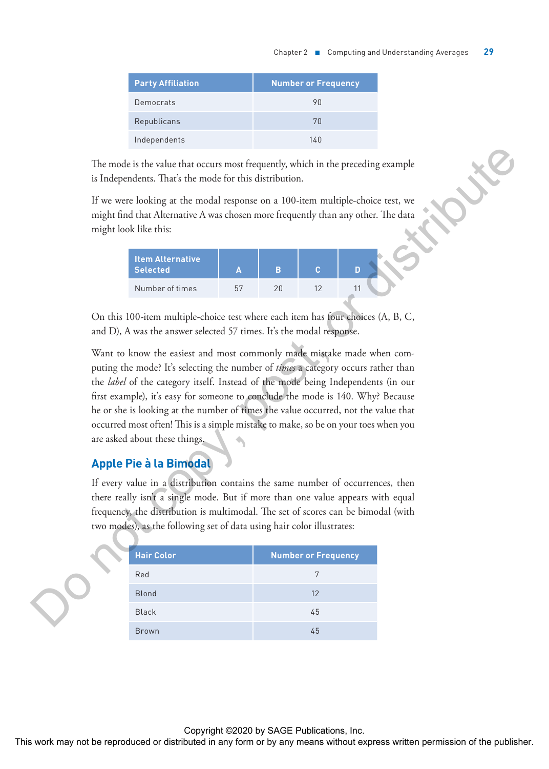| <b>Party Affiliation</b> | <b>Number or Frequency</b> |
|--------------------------|----------------------------|
| Democrats                | 90                         |
| Republicans              | 70                         |
| Independents             | 140                        |

The mode is the value that occurs most frequently, which in the preceding example is Independents. That's the mode for this distribution.

If we were looking at the modal response on a 100-item multiple-choice test, we might find that Alternative A was chosen more frequently than any other. The data might look like this:

| <b>Item Alternative</b><br><b>Selected</b> | Α | R |  |  |
|--------------------------------------------|---|---|--|--|
| Number of times                            | h |   |  |  |

On this 100-item multiple-choice test where each item has four choices (A, B, C, and D), A was the answer selected 57 times. It's the modal response.

Want to know the easiest and most commonly made mistake made when computing the mode? It's selecting the number of *times* a category occurs rather than the *label* of the category itself. Instead of the mode being Independents (in our first example), it's easy for someone to conclude the mode is 140. Why? Because he or she is looking at the number of times the value occurred, not the value that occurred most often! This is a simple mistake to make, so be on your toes when you are asked about these things. The exocity attention that is extended to the rest of the controller or the rest or distribution.<br>
If we were looking at the encode fluctuation and calculation.<br>
The were looking at the encode busted was chosen over the l

### **Apple Pie à la Bimodal**

If every value in a distribution contains the same number of occurrences, then there really isn't a single mode. But if more than one value appears with equal frequency, the distribution is multimodal. The set of scores can be bimodal (with two modes), as the following set of data using hair color illustrates:

| <b>Hair Color</b> | <b>Number or Frequency</b> |
|-------------------|----------------------------|
| Red               | 7                          |
| Blond             | 12                         |
| Black             | 45                         |
| <b>Brown</b>      | 45                         |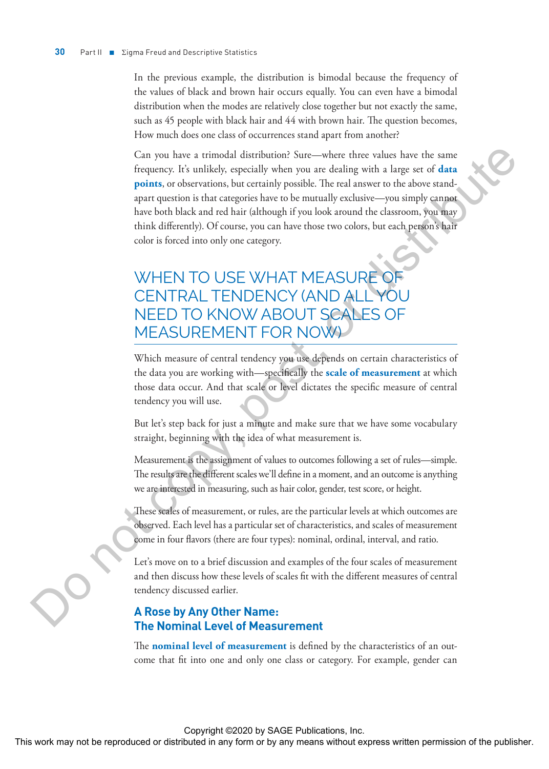In the previous example, the distribution is bimodal because the frequency of the values of black and brown hair occurs equally. You can even have a bimodal distribution when the modes are relatively close together but not exactly the same, such as 45 people with black hair and 44 with brown hair. The question becomes, How much does one class of occurrences stand apart from another?

Can you have a trimodal distribution? Sure—where three values have the same frequency. It's unlikely, especially when you are dealing with a large set of **data points**, or observations, but certainly possible. The real answer to the above standapart question is that categories have to be mutually exclusive—you simply cannot have both black and red hair (although if you look around the classroom, you may think differently). Of course, you can have those two colors, but each person's hair color is forced into only one category. Can publish the reproduced or distributed in the results of the same points of the reproduced or distributed in any form or by any means we consider the reproduced in the reproduced in the reproduced in the reproduced in

### WHEN TO USE WHAT MEASURE OF CENTRAL TENDENCY (AND ALL YOU NEED TO KNOW ABOUT SCALES OF MEASUREMENT FOR NOW)

Which measure of central tendency you use depends on certain characteristics of the data you are working with—specifically the **scale of measurement** at which those data occur. And that scale or level dictates the specific measure of central tendency you will use.

But let's step back for just a minute and make sure that we have some vocabulary straight, beginning with the idea of what measurement is.

Measurement is the assignment of values to outcomes following a set of rules—simple. The results are the different scales we'll define in a moment, and an outcome is anything we are interested in measuring, such as hair color, gender, test score, or height.

These scales of measurement, or rules, are the particular levels at which outcomes are observed. Each level has a particular set of characteristics, and scales of measurement come in four flavors (there are four types): nominal, ordinal, interval, and ratio.

Let's move on to a brief discussion and examples of the four scales of measurement and then discuss how these levels of scales fit with the different measures of central tendency discussed earlier.

### **A Rose by Any Other Name: The Nominal Level of Measurement**

The **nominal level of measurement** is defined by the characteristics of an outcome that fit into one and only one class or category. For example, gender can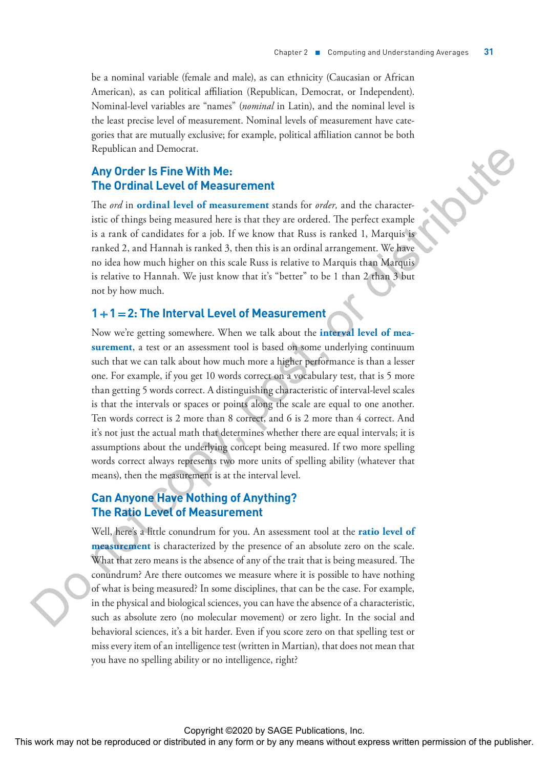be a nominal variable (female and male), as can ethnicity (Caucasian or African American), as can political affiliation (Republican, Democrat, or Independent). Nominal-level variables are "names" (*nominal* in Latin), and the nominal level is the least precise level of measurement. Nominal levels of measurement have categories that are mutually exclusive; for example, political affiliation cannot be both Republican and Democrat.

### **Any Order Is Fine With Me: The Ordinal Level of Measurement**

The *ord* in **ordinal level of measurement** stands for *order,* and the characteristic of things being measured here is that they are ordered. The perfect example is a rank of candidates for a job. If we know that Russ is ranked 1, Marquis is ranked 2, and Hannah is ranked 3, then this is an ordinal arrangement. We have no idea how much higher on this scale Russ is relative to Marquis than Marquis is relative to Hannah. We just know that it's "better" to be 1 than 2 than 3 but not by how much.

### **1** + **1** = **2: The Interval Level of Measurement**

Now we're getting somewhere. When we talk about the **interval level of measurement**, a test or an assessment tool is based on some underlying continuum such that we can talk about how much more a higher performance is than a lesser one. For example, if you get 10 words correct on a vocabulary test, that is 5 more than getting 5 words correct. A distinguishing characteristic of interval-level scales is that the intervals or spaces or points along the scale are equal to one another. Ten words correct is 2 more than 8 correct, and 6 is 2 more than 4 correct. And it's not just the actual math that determines whether there are equal intervals; it is assumptions about the underlying concept being measured. If two more spelling words correct always represents two more units of spelling ability (whatever that means), then the measurement is at the interval level. Rystalian and Danaston are the reproduced or distributed in any form of the reproduced or distributed in any form or by any means with experiment the reproduced in any means with performance of the publisher and the publi

### **Can Anyone Have Nothing of Anything? The Ratio Level of Measurement**

Well, here's a little conundrum for you. An assessment tool at the **ratio level of measurement** is characterized by the presence of an absolute zero on the scale. What that zero means is the absence of any of the trait that is being measured. The conundrum? Are there outcomes we measure where it is possible to have nothing of what is being measured? In some disciplines, that can be the case. For example, in the physical and biological sciences, you can have the absence of a characteristic, such as absolute zero (no molecular movement) or zero light. In the social and behavioral sciences, it's a bit harder. Even if you score zero on that spelling test or miss every item of an intelligence test (written in Martian), that does not mean that you have no spelling ability or no intelligence, right?

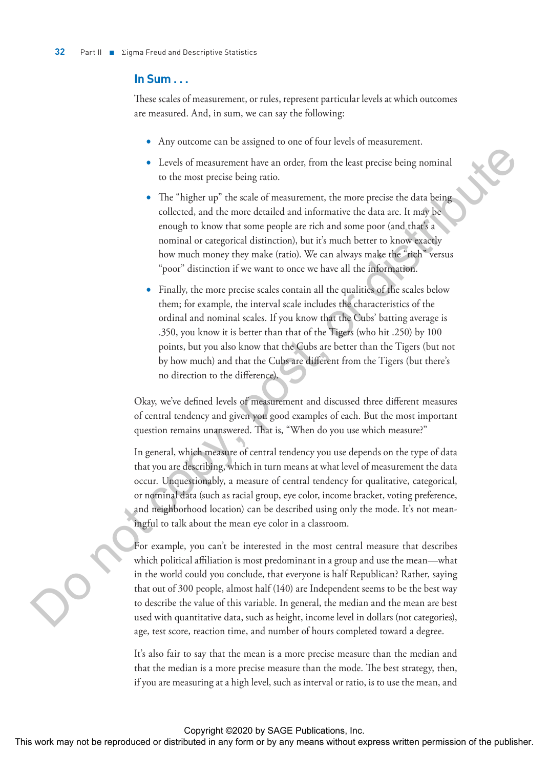### **In Sum . . .**

These scales of measurement, or rules, represent particular levels at which outcomes are measured. And, in sum, we can say the following:

- Any outcome can be assigned to one of four levels of measurement.
- Levels of measurement have an order, from the least precise being nominal to the most precise being ratio.
- The "higher up" the scale of measurement, the more precise the data being collected, and the more detailed and informative the data are. It may be enough to know that some people are rich and some poor (and that's a nominal or categorical distinction), but it's much better to know exactly how much money they make (ratio). We can always make the "rich" versus "poor" distinction if we want to once we have all the information.
- Finally, the more precise scales contain all the qualities of the scales below them; for example, the interval scale includes the characteristics of the ordinal and nominal scales. If you know that the Cubs' batting average is .350, you know it is better than that of the Tigers (who hit .250) by 100 points, but you also know that the Cubs are better than the Tigers (but not by how much) and that the Cubs are different from the Tigers (but there's no direction to the difference).

Okay, we've defined levels of measurement and discussed three different measures of central tendency and given you good examples of each. But the most important question remains unanswered. That is, "When do you use which measure?"

In general, which measure of central tendency you use depends on the type of data that you are describing, which in turn means at what level of measurement the data occur. Unquestionably, a measure of central tendency for qualitative, categorical, or nominal data (such as racial group, eye color, income bracket, voting preference, and neighborhood location) can be described using only the mode. It's not meaningful to talk about the mean eye color in a classroom.

For example, you can't be interested in the most central measure that describes which political affiliation is most predominant in a group and use the mean—what in the world could you conclude, that everyone is half Republican? Rather, saying that out of 300 people, almost half (140) are Independent seems to be the best way to describe the value of this variable. In general, the median and the mean are best used with quantitative data, such as height, income level in dollars (not categories), age, test score, reaction time, and number of hours completed toward a degree. Figure 1.1 centro pressure the reproduced or distributed or distributed in any form of the reproduced in any form or by any means we are the reproduced in any form or by any means we are the reproduced in any means when t

It's also fair to say that the mean is a more precise measure than the median and that the median is a more precise measure than the mode. The best strategy, then, if you are measuring at a high level, such as interval or ratio, is to use the mean, and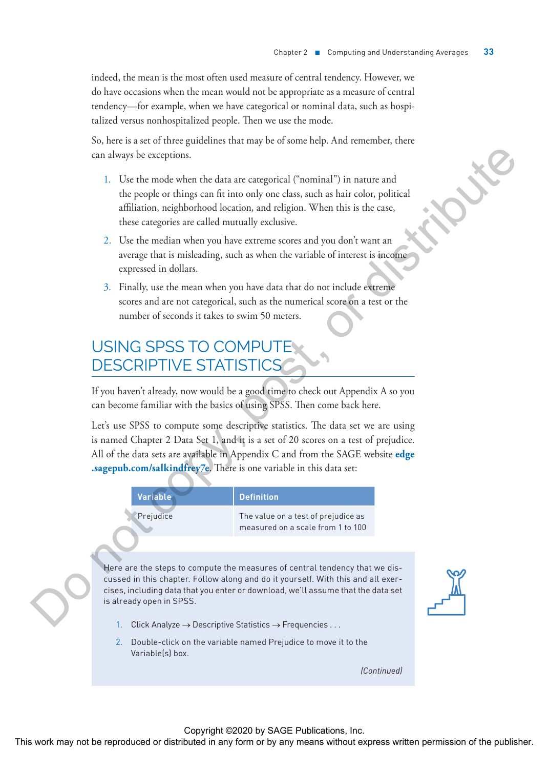indeed, the mean is the most often used measure of central tendency. However, we do have occasions when the mean would not be appropriate as a measure of central tendency—for example, when we have categorical or nominal data, such as hospitalized versus nonhospitalized people. Then we use the mode.

So, here is a set of three guidelines that may be of some help. And remember, there can always be exceptions.

- 1. Use the mode when the data are categorical ("nominal") in nature and the people or things can fit into only one class, such as hair color, political affiliation, neighborhood location, and religion. When this is the case, these categories are called mutually exclusive.
- 2. Use the median when you have extreme scores and you don't want an average that is misleading, such as when the variable of interest is income expressed in dollars.
- 3. Finally, use the mean when you have data that do not include extreme scores and are not categorical, such as the numerical score on a test or the number of seconds it takes to swim 50 meters.

### USING SPSS TO COMP DESCRIPTIVE STATIST

If you haven't already, now would be a good time to check out Appendix A so you can become familiar with the basics of using SPSS. Then come back here.

Let's use SPSS to compute some descriptive statistics. The data set we are using is named Chapter 2 Data Set 1, and it is a set of 20 scores on a test of prejudice. All of the data sets are available in Appendix C and from the SAGE website **edge .sagepub.com/salkindfrey7e**. There is one variable in this data set: Construction the restriction of the reproduced or distributed in any form or by any means which constructed in any form or by any means with  $\alpha$  and  $\alpha$  and  $\alpha$  and  $\alpha$  and  $\alpha$  and  $\alpha$  and  $\alpha$  and  $\alpha$  any  $\alpha$  be

| Variable  | <b>Definition</b>                                                        |
|-----------|--------------------------------------------------------------------------|
| Prejudice | The value on a test of prejudice as<br>measured on a scale from 1 to 100 |

Here are the steps to compute the measures of central tendency that we discussed in this chapter. Follow along and do it yourself. With this and all exercises, including data that you enter or download, we'll assume that the data set is already open in SPSS.

- 1. Click Analyze  $\rightarrow$  Descriptive Statistics  $\rightarrow$  Frequencies ...
- 2. Double-click on the variable named Prejudice to move it to the Variable(s) box.

*(Continued)*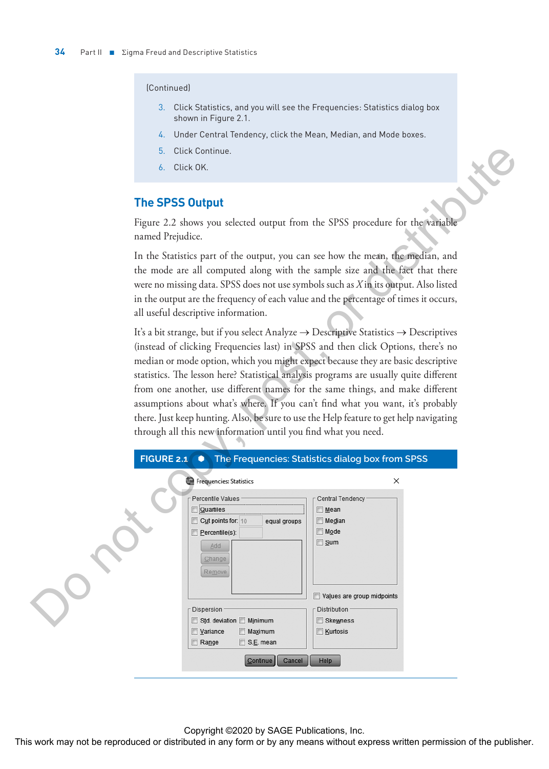#### (Continued)

- 3. Click Statistics, and you will see the Frequencies: Statistics dialog box shown in Figure 2.1.
- 4. Under Central Tendency, click the Mean, Median, and Mode boxes.
- 5. Click Continue.
- 6. Click OK.

### **The SPSS Output**

| Click Continue.<br>5.                                                                                                                                                                                                                                                                                                                                                                                                                                                                                                                                                                                                                                                                                           |                                                        |  |
|-----------------------------------------------------------------------------------------------------------------------------------------------------------------------------------------------------------------------------------------------------------------------------------------------------------------------------------------------------------------------------------------------------------------------------------------------------------------------------------------------------------------------------------------------------------------------------------------------------------------------------------------------------------------------------------------------------------------|--------------------------------------------------------|--|
| Click OK.<br>6.                                                                                                                                                                                                                                                                                                                                                                                                                                                                                                                                                                                                                                                                                                 |                                                        |  |
|                                                                                                                                                                                                                                                                                                                                                                                                                                                                                                                                                                                                                                                                                                                 |                                                        |  |
| <b>The SPSS Output</b>                                                                                                                                                                                                                                                                                                                                                                                                                                                                                                                                                                                                                                                                                          |                                                        |  |
| Figure 2.2 shows you selected output from the SPSS procedure for the variable<br>named Prejudice.                                                                                                                                                                                                                                                                                                                                                                                                                                                                                                                                                                                                               |                                                        |  |
| In the Statistics part of the output, you can see how the mean, the median, and<br>the mode are all computed along with the sample size and the fact that there<br>were no missing data. SPSS does not use symbols such as $X$ in its output. Also listed<br>in the output are the frequency of each value and the percentage of times it occurs,<br>all useful descriptive information.                                                                                                                                                                                                                                                                                                                        |                                                        |  |
| It's a bit strange, but if you select Analyze $\rightarrow$ Descriptive Statistics $\rightarrow$ Descriptives<br>(instead of clicking Frequencies last) in SPSS and then click Options, there's no<br>median or mode option, which you might expect because they are basic descriptive<br>statistics. The lesson here? Statistical analysis programs are usually quite different<br>from one another, use different names for the same things, and make different<br>assumptions about what's where. If you can't find what you want, it's probably<br>there. Just keep hunting. Also, be sure to use the Help feature to get help navigating<br>through all this new information until you find what you need. |                                                        |  |
| <b>FIGURE 2.1</b>                                                                                                                                                                                                                                                                                                                                                                                                                                                                                                                                                                                                                                                                                               | The Frequencies: Statistics dialog box from SPSS       |  |
|                                                                                                                                                                                                                                                                                                                                                                                                                                                                                                                                                                                                                                                                                                                 |                                                        |  |
| Frequencies: Statistics<br>Percentile Values<br>Quartiles<br>Cut points for: 10<br>equal groups<br>Percentile(s):<br>Add<br>Change<br>Remove                                                                                                                                                                                                                                                                                                                                                                                                                                                                                                                                                                    | ×<br>Central Tendency<br>Mean<br>Median<br>Mode<br>Sum |  |
|                                                                                                                                                                                                                                                                                                                                                                                                                                                                                                                                                                                                                                                                                                                 | Values are group midpoints                             |  |
| Dispersion<br>Std. deviation Minimum<br>Variance<br>Maximum<br>$\Box$ S.E. mean<br>Range                                                                                                                                                                                                                                                                                                                                                                                                                                                                                                                                                                                                                        | Distribution<br>Skewness<br>Kurtosis                   |  |
| Continue<br>Cancel                                                                                                                                                                                                                                                                                                                                                                                                                                                                                                                                                                                                                                                                                              | Help                                                   |  |
|                                                                                                                                                                                                                                                                                                                                                                                                                                                                                                                                                                                                                                                                                                                 |                                                        |  |
|                                                                                                                                                                                                                                                                                                                                                                                                                                                                                                                                                                                                                                                                                                                 |                                                        |  |
| Copyright ©2020 by SAGE Publications, Inc.<br>This work may not be reproduced or distributed in any form or by any means without express written permission of the publisher.                                                                                                                                                                                                                                                                                                                                                                                                                                                                                                                                   |                                                        |  |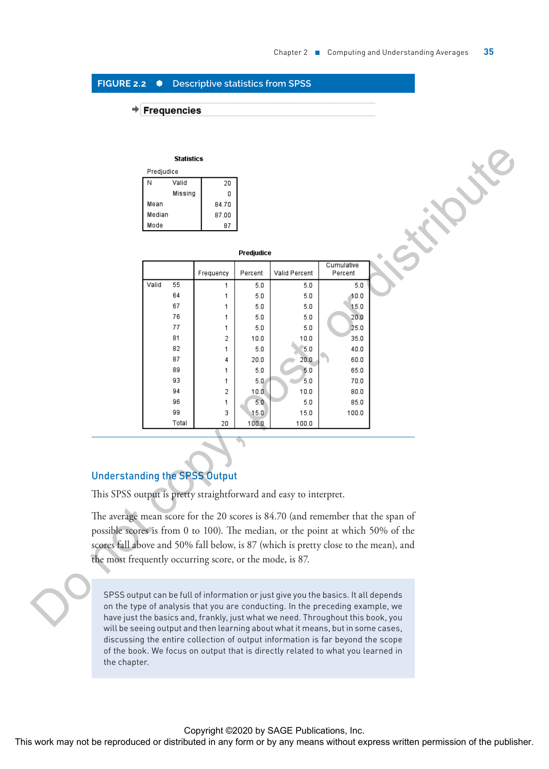#### **FIGURE 2.2 Descriptive statistics from SPSS**

#### $\rightarrow$  Frequencies

|        | Predjudice |       |
|--------|------------|-------|
| Ν      | Valid      | 20    |
|        | Missing    | Ω     |
| Mean   |            | 84.70 |
| Median |            | 87.00 |
| Mode   |            | 87    |

|                                                                                                                                 |                                                                                      |                 | <b>Statistics</b> |           |             |                                            |                                                                                                                                                                    |  |  |
|---------------------------------------------------------------------------------------------------------------------------------|--------------------------------------------------------------------------------------|-----------------|-------------------|-----------|-------------|--------------------------------------------|--------------------------------------------------------------------------------------------------------------------------------------------------------------------|--|--|
|                                                                                                                                 |                                                                                      | Predjudice<br>N | Valid             | 20        |             |                                            |                                                                                                                                                                    |  |  |
|                                                                                                                                 |                                                                                      |                 | Missing           | 0         |             |                                            |                                                                                                                                                                    |  |  |
|                                                                                                                                 |                                                                                      | Mean            |                   | 84.70     |             |                                            |                                                                                                                                                                    |  |  |
|                                                                                                                                 |                                                                                      | Median          |                   | 87.00     |             |                                            |                                                                                                                                                                    |  |  |
|                                                                                                                                 |                                                                                      | Mode            |                   | 87        |             |                                            |                                                                                                                                                                    |  |  |
|                                                                                                                                 |                                                                                      |                 |                   |           |             |                                            |                                                                                                                                                                    |  |  |
|                                                                                                                                 |                                                                                      |                 |                   |           | Predjudice  |                                            |                                                                                                                                                                    |  |  |
|                                                                                                                                 |                                                                                      |                 |                   | Frequency | Percent     | Valid Percent                              | Cumulative<br>Percent                                                                                                                                              |  |  |
|                                                                                                                                 |                                                                                      | Valid           | 55                | 1         | 5.0         | 5.0                                        | 5.0                                                                                                                                                                |  |  |
|                                                                                                                                 |                                                                                      |                 | 64                | 1         | 5.0         | 5.0                                        | 10.0                                                                                                                                                               |  |  |
|                                                                                                                                 |                                                                                      |                 | 67<br>76          | 1<br>1    | 5.0<br>5.0  | 5.0<br>5.0                                 | 15.0<br>20.0                                                                                                                                                       |  |  |
|                                                                                                                                 |                                                                                      |                 | 77                | 1         | 5.0         | 5.0                                        | 25.0                                                                                                                                                               |  |  |
|                                                                                                                                 |                                                                                      |                 | 81                | 2         | 10.0        | 10.0                                       | 35.0                                                                                                                                                               |  |  |
|                                                                                                                                 |                                                                                      |                 | 82                | 1         | 5.0         | 5.0                                        | 40.0                                                                                                                                                               |  |  |
|                                                                                                                                 |                                                                                      |                 | 87                | 4         | 20.0        | 20.0                                       | 60.0                                                                                                                                                               |  |  |
|                                                                                                                                 |                                                                                      |                 | 89                | 1         | 5.0         | 5.0                                        | 65.0                                                                                                                                                               |  |  |
|                                                                                                                                 |                                                                                      |                 | 93                | 1         | 5.0         | 5.0                                        | 70.0                                                                                                                                                               |  |  |
|                                                                                                                                 |                                                                                      |                 | 94<br>96          | 2<br>1    | 10.0<br>5.0 | 10.0<br>5.0                                | 80.0<br>85.0                                                                                                                                                       |  |  |
|                                                                                                                                 |                                                                                      |                 | 99                | 3         | 15.0        | 15.0                                       | 100.0                                                                                                                                                              |  |  |
|                                                                                                                                 |                                                                                      |                 | Total             | 20        | 100.0       | 100.0                                      |                                                                                                                                                                    |  |  |
|                                                                                                                                 |                                                                                      |                 |                   |           |             |                                            |                                                                                                                                                                    |  |  |
|                                                                                                                                 |                                                                                      |                 |                   |           |             |                                            |                                                                                                                                                                    |  |  |
|                                                                                                                                 | <b>Understanding the SPSS Output</b>                                                 |                 |                   |           |             |                                            |                                                                                                                                                                    |  |  |
|                                                                                                                                 | This SPSS output is pretty straightforward and easy to interpret.                    |                 |                   |           |             |                                            |                                                                                                                                                                    |  |  |
|                                                                                                                                 | The average mean score for the 20 scores is 84.70 (and remember that the span of     |                 |                   |           |             |                                            |                                                                                                                                                                    |  |  |
|                                                                                                                                 | possible scores is from 0 to 100). The median, or the point at which 50% of the      |                 |                   |           |             |                                            |                                                                                                                                                                    |  |  |
|                                                                                                                                 | scores fall above and 50% fall below, is 87 (which is pretty close to the mean), and |                 |                   |           |             |                                            |                                                                                                                                                                    |  |  |
|                                                                                                                                 | the most frequently occurring score, or the mode, is 87.                             |                 |                   |           |             |                                            |                                                                                                                                                                    |  |  |
|                                                                                                                                 |                                                                                      |                 |                   |           |             |                                            |                                                                                                                                                                    |  |  |
|                                                                                                                                 |                                                                                      |                 |                   |           |             |                                            | SPSS output can be full of information or just give you the basics. It all depends                                                                                 |  |  |
|                                                                                                                                 |                                                                                      |                 |                   |           |             |                                            | on the type of analysis that you are conducting. In the preceding example, we                                                                                      |  |  |
|                                                                                                                                 |                                                                                      |                 |                   |           |             |                                            | have just the basics and, frankly, just what we need. Throughout this book, you<br>will be seeing output and then learning about what it means, but in some cases, |  |  |
|                                                                                                                                 |                                                                                      |                 |                   |           |             |                                            | discussing the entire collection of output information is far beyond the scope                                                                                     |  |  |
|                                                                                                                                 |                                                                                      |                 |                   |           |             |                                            | of the book. We focus on output that is directly related to what you learned in                                                                                    |  |  |
|                                                                                                                                 | the chapter.                                                                         |                 |                   |           |             |                                            |                                                                                                                                                                    |  |  |
|                                                                                                                                 |                                                                                      |                 |                   |           |             |                                            |                                                                                                                                                                    |  |  |
|                                                                                                                                 |                                                                                      |                 |                   |           |             |                                            |                                                                                                                                                                    |  |  |
|                                                                                                                                 |                                                                                      |                 |                   |           |             |                                            |                                                                                                                                                                    |  |  |
|                                                                                                                                 |                                                                                      |                 |                   |           |             | Copyright ©2020 by SAGE Publications, Inc. |                                                                                                                                                                    |  |  |
| This work may not be reproduced or distributed in any form or by any means without express written permission of the publisher. |                                                                                      |                 |                   |           |             |                                            |                                                                                                                                                                    |  |  |

### Understanding the SPSS Output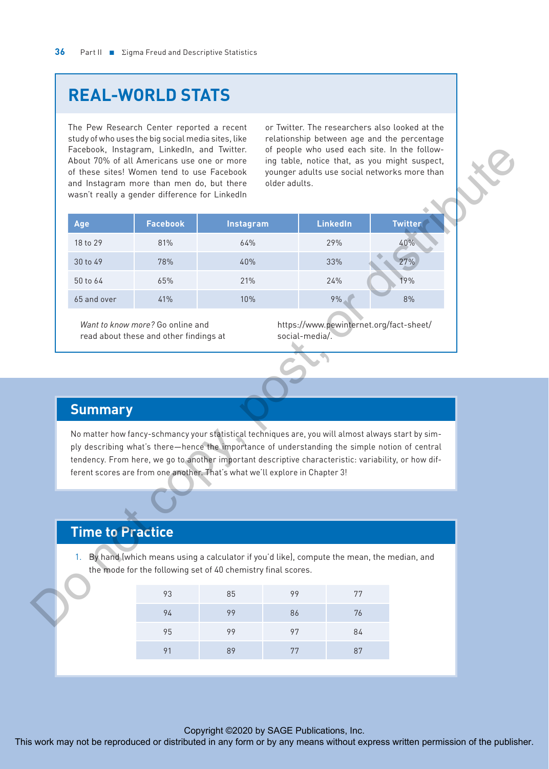### **REAL-WORLD STATS**

The Pew Research Center reported a recent study of who uses the big social media sites, like Facebook, Instagram, LinkedIn, and Twitter. About 70% of all Americans use one or more of these sites! Women tend to use Facebook and Instagram more than men do, but there wasn't really a gender difference for LinkedIn

or Twitter. The researchers also looked at the relationship between age and the percentage of people who used each site. In the following table, notice that, as you might suspect, younger adults use social networks more than older adults.

|                         | <b>Facebook</b>                                                            | Instagram                                                                                                                                                                                            |                | <b>LinkedIn</b> | <b>Twitter</b>                          |  |
|-------------------------|----------------------------------------------------------------------------|------------------------------------------------------------------------------------------------------------------------------------------------------------------------------------------------------|----------------|-----------------|-----------------------------------------|--|
| 18 to 29                | 81%                                                                        | 64%                                                                                                                                                                                                  |                | 29%             | 40%                                     |  |
| 30 to 49                | 78%                                                                        | 40%                                                                                                                                                                                                  |                | 33%             | 27%                                     |  |
| 50 to 64                | 65%                                                                        | 21%                                                                                                                                                                                                  |                | 24%             | 19%                                     |  |
| 65 and over             | 41%                                                                        | 10%                                                                                                                                                                                                  |                | 9%              | 8%                                      |  |
|                         | Want to know more? Go online and<br>read about these and other findings at |                                                                                                                                                                                                      | social-media/. |                 | https://www.pewinternet.org/fact-sheet/ |  |
|                         |                                                                            |                                                                                                                                                                                                      |                |                 |                                         |  |
|                         |                                                                            |                                                                                                                                                                                                      |                |                 |                                         |  |
|                         |                                                                            |                                                                                                                                                                                                      |                |                 |                                         |  |
| <b>Summary</b>          |                                                                            |                                                                                                                                                                                                      |                |                 |                                         |  |
|                         |                                                                            |                                                                                                                                                                                                      |                |                 |                                         |  |
|                         |                                                                            | No matter how fancy-schmancy your statistical techniques are, you will almost always start by sim-<br>ply describing what's there—hence the importance of understanding the simple notion of central |                |                 |                                         |  |
|                         |                                                                            | tendency. From here, we go to another important descriptive characteristic: variability, or how dif-                                                                                                 |                |                 |                                         |  |
|                         |                                                                            | ferent scores are from one another. That's what we'll explore in Chapter 3!                                                                                                                          |                |                 |                                         |  |
|                         |                                                                            |                                                                                                                                                                                                      |                |                 |                                         |  |
|                         |                                                                            |                                                                                                                                                                                                      |                |                 |                                         |  |
|                         |                                                                            |                                                                                                                                                                                                      |                |                 |                                         |  |
| <b>Time to Practice</b> |                                                                            |                                                                                                                                                                                                      |                |                 |                                         |  |
|                         |                                                                            | 1. By hand (which means using a calculator if you'd like), compute the mean, the median, and                                                                                                         |                |                 |                                         |  |
|                         |                                                                            | the mode for the following set of 40 chemistry final scores.                                                                                                                                         |                |                 |                                         |  |
|                         | 93                                                                         | 85                                                                                                                                                                                                   | 99             | 77              |                                         |  |
|                         | 94                                                                         | 99                                                                                                                                                                                                   | 86             | 76              |                                         |  |
|                         | 95                                                                         | 99                                                                                                                                                                                                   | 97             | 84              |                                         |  |
|                         | 91                                                                         | 89                                                                                                                                                                                                   | 77             | 87              |                                         |  |

### **Summary**

### **Time to Practice**

| 93 | 85 | 99 | 77 |
|----|----|----|----|
| 94 | 99 | 86 | 76 |
| 95 | 99 | 97 | 84 |
| 91 | 89 | 77 | 87 |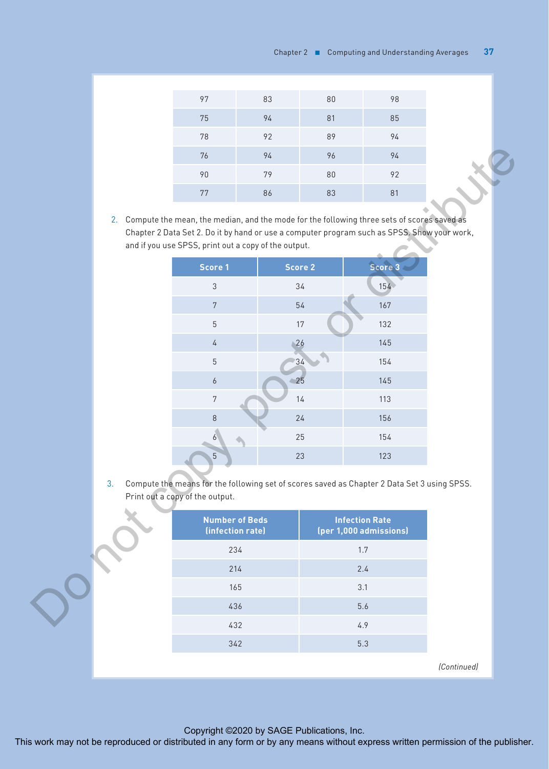| 97 | 83 | 80 | 98 |
|----|----|----|----|
| 75 | 94 | 81 | 85 |
| 78 | 92 | 89 | 94 |
| 76 | 94 | 96 | 94 |
| 90 | 79 | 80 | 92 |
| 77 | 86 | 83 | 81 |

|                                                                                                                                 | $76\,$                                                                                                                                                                                                                                               | 94          | 96                                         | $94$                                            |             |  |
|---------------------------------------------------------------------------------------------------------------------------------|------------------------------------------------------------------------------------------------------------------------------------------------------------------------------------------------------------------------------------------------------|-------------|--------------------------------------------|-------------------------------------------------|-------------|--|
|                                                                                                                                 | 90                                                                                                                                                                                                                                                   | 79          | 80                                         | 92                                              |             |  |
|                                                                                                                                 | 77                                                                                                                                                                                                                                                   | 86          | 83                                         | 81                                              |             |  |
|                                                                                                                                 | 2. Compute the mean, the median, and the mode for the following three sets of scores saved as<br>Chapter 2 Data Set 2. Do it by hand or use a computer program such as SPSS. Show your work,<br>and if you use SPSS, print out a copy of the output. |             |                                            |                                                 |             |  |
|                                                                                                                                 | Score 1                                                                                                                                                                                                                                              |             | Score 2                                    | Score 3                                         |             |  |
|                                                                                                                                 | $\ensuremath{\mathsf{3}}$                                                                                                                                                                                                                            |             | 34                                         | 154                                             |             |  |
|                                                                                                                                 | $\overline{7}$                                                                                                                                                                                                                                       |             | 54                                         | 167                                             |             |  |
|                                                                                                                                 | 5                                                                                                                                                                                                                                                    |             | 17                                         | 132                                             |             |  |
|                                                                                                                                 | 4                                                                                                                                                                                                                                                    | $\sqrt{26}$ |                                            | 145                                             |             |  |
|                                                                                                                                 | 5                                                                                                                                                                                                                                                    |             | 34                                         | 154                                             |             |  |
|                                                                                                                                 | $\boldsymbol{6}$                                                                                                                                                                                                                                     | $\sim 25$   |                                            | 145                                             |             |  |
|                                                                                                                                 | $7\phantom{.}$                                                                                                                                                                                                                                       |             | 14                                         | 113                                             |             |  |
|                                                                                                                                 | $\,8\,$                                                                                                                                                                                                                                              |             | 24                                         | 156                                             |             |  |
|                                                                                                                                 | 6                                                                                                                                                                                                                                                    |             | 25                                         | 154                                             |             |  |
|                                                                                                                                 | 5                                                                                                                                                                                                                                                    |             | 23                                         | 123                                             |             |  |
| 3.                                                                                                                              | Compute the means for the following set of scores saved as Chapter 2 Data Set 3 using SPSS.<br>Print out a copy of the output.                                                                                                                       |             |                                            |                                                 |             |  |
|                                                                                                                                 | <b>Number of Beds</b><br>(infection rate)                                                                                                                                                                                                            |             |                                            | <b>Infection Rate</b><br>(per 1,000 admissions) |             |  |
|                                                                                                                                 | 234                                                                                                                                                                                                                                                  |             |                                            | 1.7                                             |             |  |
|                                                                                                                                 | 214                                                                                                                                                                                                                                                  |             |                                            | 2.4                                             |             |  |
|                                                                                                                                 | 165                                                                                                                                                                                                                                                  |             |                                            | $3.1\,$                                         |             |  |
|                                                                                                                                 | 436                                                                                                                                                                                                                                                  |             |                                            | 5.6                                             |             |  |
|                                                                                                                                 | 432                                                                                                                                                                                                                                                  |             |                                            | 4.9                                             |             |  |
|                                                                                                                                 | 342                                                                                                                                                                                                                                                  |             |                                            | $5.3\,$                                         |             |  |
|                                                                                                                                 |                                                                                                                                                                                                                                                      |             |                                            |                                                 | (Continued) |  |
| This work may not be reproduced or distributed in any form or by any means without express written permission of the publisher. |                                                                                                                                                                                                                                                      |             | Copyright ©2020 by SAGE Publications, Inc. |                                                 |             |  |

| <b>Number of Beds</b><br>(infection rate) | <b>Infection Rate</b><br>(per 1,000 admissions) |
|-------------------------------------------|-------------------------------------------------|
| 234                                       | 1.7                                             |
| 214                                       | 2.4                                             |
| 165                                       | 3.1                                             |
| 436                                       | 5.6                                             |
| 432                                       | 4.9                                             |
| 342                                       | 5.3                                             |
|                                           |                                                 |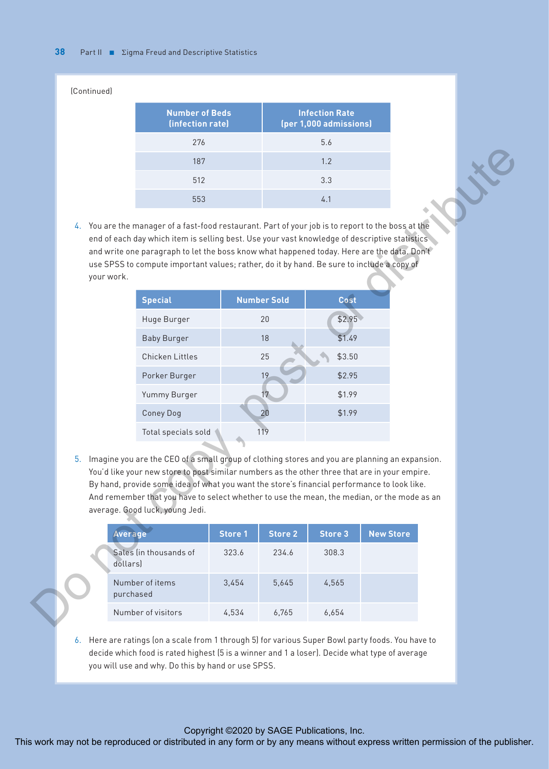#### (Continued)

| <b>Number of Beds</b><br>(infection rate) | <b>Infection Rate</b><br>(per 1,000 admissions) |
|-------------------------------------------|-------------------------------------------------|
|                                           |                                                 |
| 276                                       | 5.6                                             |
| 187                                       | 1.2                                             |
|                                           |                                                 |
| 512                                       | 3.3                                             |
| 553                                       | $\mu$ 1                                         |

|            | 187<br>512<br>553                                                                                                                                                                                                                                                                                                              |         |                    | 1.2<br>3.3                                                                                         |                  |
|------------|--------------------------------------------------------------------------------------------------------------------------------------------------------------------------------------------------------------------------------------------------------------------------------------------------------------------------------|---------|--------------------|----------------------------------------------------------------------------------------------------|------------------|
|            |                                                                                                                                                                                                                                                                                                                                |         |                    |                                                                                                    |                  |
|            |                                                                                                                                                                                                                                                                                                                                |         |                    |                                                                                                    |                  |
|            |                                                                                                                                                                                                                                                                                                                                |         |                    | 4.1                                                                                                |                  |
| your work. | end of each day which item is selling best. Use your vast knowledge of descriptive statistics<br>and write one paragraph to let the boss know what happened today. Here are the data. Don't<br>use SPSS to compute important values; rather, do it by hand. Be sure to include a copy of                                       |         |                    | 4. You are the manager of a fast-food restaurant. Part of your job is to report to the boss at the |                  |
|            | <b>Special</b>                                                                                                                                                                                                                                                                                                                 |         | <b>Number Sold</b> | Cost                                                                                               |                  |
|            | Huge Burger                                                                                                                                                                                                                                                                                                                    |         | 20                 | \$2.95                                                                                             |                  |
|            | <b>Baby Burger</b>                                                                                                                                                                                                                                                                                                             |         | 18                 | \$1.49                                                                                             |                  |
|            | Chicken Littles                                                                                                                                                                                                                                                                                                                |         | 25                 | \$3.50                                                                                             |                  |
|            | Porker Burger                                                                                                                                                                                                                                                                                                                  |         | 19                 | \$2.95                                                                                             |                  |
|            | Yummy Burger                                                                                                                                                                                                                                                                                                                   |         | 17 <sup>°</sup>    | \$1.99                                                                                             |                  |
|            |                                                                                                                                                                                                                                                                                                                                |         |                    |                                                                                                    |                  |
|            | Coney Dog                                                                                                                                                                                                                                                                                                                      |         | 20                 | \$1.99                                                                                             |                  |
|            | Total specials sold<br>5. Imagine you are the CEO of a small group of clothing stores and you are planning an expansion.                                                                                                                                                                                                       |         | 119                |                                                                                                    |                  |
|            | You'd like your new store to post similar numbers as the other three that are in your empire.<br>By hand, provide some idea of what you want the store's financial performance to look like.<br>And remember that you have to select whether to use the mean, the median, or the mode as an<br>average. Good luck, young Jedi. |         |                    |                                                                                                    |                  |
|            | Average                                                                                                                                                                                                                                                                                                                        | Store 1 | <b>Store 2</b>     | <b>Store 3</b>                                                                                     | <b>New Store</b> |
| dollars)   | Sales (in thousands of                                                                                                                                                                                                                                                                                                         | 323.6   | 234.6              | 308.3                                                                                              |                  |
|            | Number of items<br>purchased                                                                                                                                                                                                                                                                                                   | 3,454   | 5,645              | 4,565                                                                                              |                  |

| Average                            | Store 1 | Store 2 | Store 3 | <b>New Store</b> |
|------------------------------------|---------|---------|---------|------------------|
| Sales (in thousands of<br>dollarsl | 323.6   | 234.6   | 308.3   |                  |
| Number of items<br>purchased       | 3,454   | 5,645   | 4,565   |                  |
| Number of visitors                 | 4.534   | 6.765   | 6,654   |                  |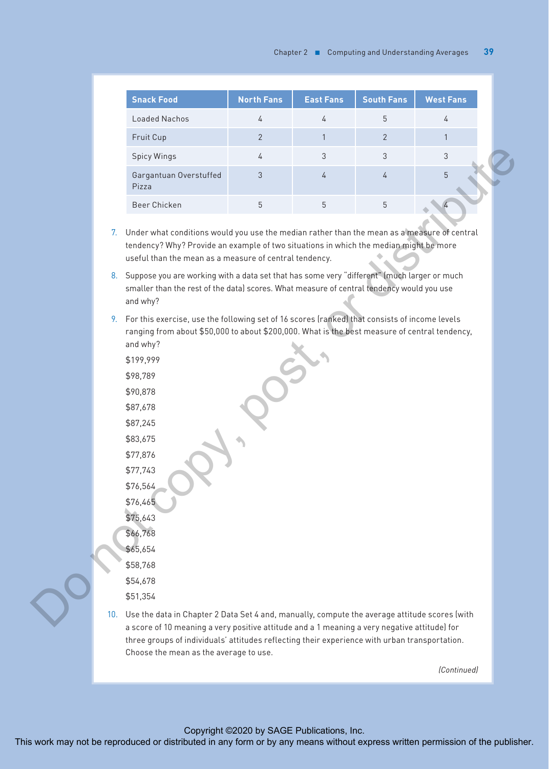| <b>Snack Food</b>                                                                                                                                                                                                                                                                                                                                                                      | <b>North Fans</b> | <b>East Fans</b> | <b>South Fans</b> | <b>West Fans</b> |
|----------------------------------------------------------------------------------------------------------------------------------------------------------------------------------------------------------------------------------------------------------------------------------------------------------------------------------------------------------------------------------------|-------------------|------------------|-------------------|------------------|
| Loaded Nachos                                                                                                                                                                                                                                                                                                                                                                          | 4                 | 4                | 5                 | 4                |
| Fruit Cup                                                                                                                                                                                                                                                                                                                                                                              | $\overline{2}$    | $\mathbf{1}$     | $\overline{2}$    | $\mathbf{1}$     |
| <b>Spicy Wings</b>                                                                                                                                                                                                                                                                                                                                                                     | 4                 | 3                | 3                 | 3                |
| Gargantuan Overstuffed<br>Pizza                                                                                                                                                                                                                                                                                                                                                        | 3                 | 4                | 4                 | 5                |
| Beer Chicken                                                                                                                                                                                                                                                                                                                                                                           | $5\,$             | $\mathbf 5$      | $\mathbf 5$       |                  |
| 7. Under what conditions would you use the median rather than the mean as a measure of central<br>tendency? Why? Provide an example of two situations in which the median might be more<br>useful than the mean as a measure of central tendency.                                                                                                                                      |                   |                  |                   |                  |
| 8. Suppose you are working with a data set that has some very "different" (much larger or much<br>smaller than the rest of the data) scores. What measure of central tendency would you use<br>and why?                                                                                                                                                                                |                   |                  |                   |                  |
| 9. For this exercise, use the following set of 16 scores (ranked) that consists of income levels<br>ranging from about \$50,000 to about \$200,000. What is the best measure of central tendency,<br>and why?<br>\$199,999<br>\$98,789<br>\$90,878<br>\$87,678<br>\$87,245<br>\$83,675<br>\$77,876<br>\$77,743<br>\$76,564<br>\$76,465<br>\$75,643<br>\$66,768<br>\$65,654<br>\$58,768 |                   |                  |                   |                  |
| \$54,678<br>\$51,354<br>10. Use the data in Chapter 2 Data Set 4 and, manually, compute the average attitude scores (with<br>a score of 10 meaning a very positive attitude and a 1 meaning a very negative attitude) for                                                                                                                                                              |                   |                  |                   |                  |
| three groups of individuals' attitudes reflecting their experience with urban transportation.<br>Choose the mean as the average to use.                                                                                                                                                                                                                                                |                   |                  |                   | (Continued)      |
|                                                                                                                                                                                                                                                                                                                                                                                        |                   |                  |                   |                  |

- 7. Under what conditions would you use the median rather than the mean as a measure of central tendency? Why? Provide an example of two situations in which the median might be more useful than the mean as a measure of central tendency.
- 8. Suppose you are working with a data set that has some very "different" (much larger or much smaller than the rest of the data) scores. What measure of central tendency would you use and why?
- 9. For this exercise, use the following set of 16 scores (ranked) that consists of income levels ranging from about \$50,000 to about \$200,000. What is the best measure of central tendency, and why?